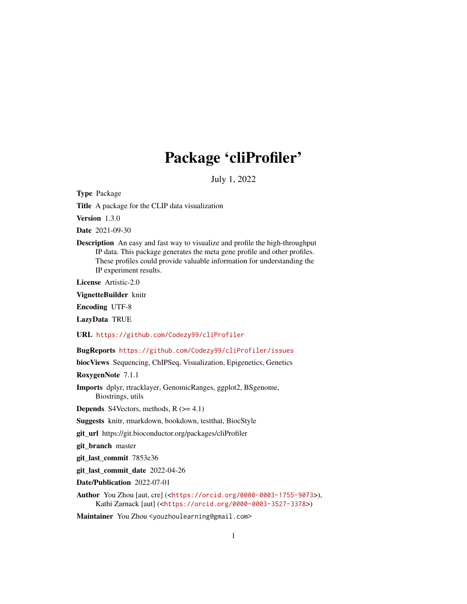# Package 'cliProfiler'

July 1, 2022

Type Package

Title A package for the CLIP data visualization

Version 1.3.0

Date 2021-09-30

Description An easy and fast way to visualize and profile the high-throughput IP data. This package generates the meta gene profile and other profiles. These profiles could provide valuable information for understanding the IP experiment results.

License Artistic-2.0

VignetteBuilder knitr

Encoding UTF-8

LazyData TRUE

URL <https://github.com/Codezy99/cliProfiler>

BugReports <https://github.com/Codezy99/cliProfiler/issues>

biocViews Sequencing, ChIPSeq, Visualization, Epigenetics, Genetics

RoxygenNote 7.1.1

Imports dplyr, rtracklayer, GenomicRanges, ggplot2, BSgenome, Biostrings, utils

**Depends** S4Vectors, methods,  $R$  ( $>= 4.1$ )

Suggests knitr, rmarkdown, bookdown, testthat, BiocStyle

git\_url https://git.bioconductor.org/packages/cliProfiler

git\_branch master

git\_last\_commit 7853e36

git\_last\_commit\_date 2022-04-26

Date/Publication 2022-07-01

Author You Zhou [aut, cre] (<<https://orcid.org/0000-0003-1755-9073>>), Kathi Zarnack [aut] (<<https://orcid.org/0000-0003-3527-3378>>)

Maintainer You Zhou <youzhoulearning@gmail.com>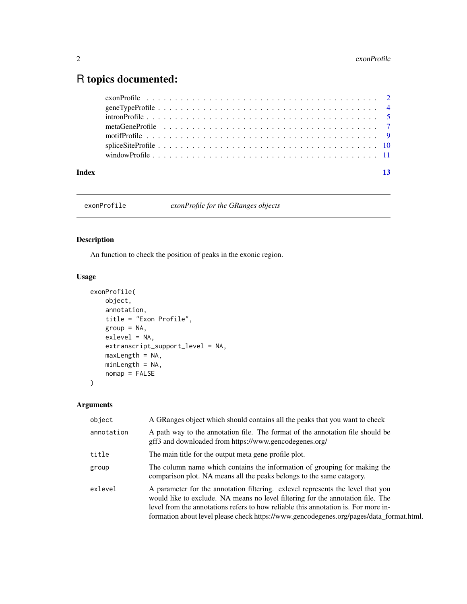# <span id="page-1-0"></span>R topics documented:

| Index | $\overline{13}$ |
|-------|-----------------|
|       |                 |
|       |                 |
|       |                 |
|       |                 |
|       |                 |
|       |                 |
|       |                 |

exonProfile *exonProfile for the GRanges objects*

### Description

An function to check the position of peaks in the exonic region.

### Usage

```
exonProfile(
    object,
    annotation,
    title = "Exon Profile",
    group = NA,exlevel = NA,
    extranscript_support_level = NA,
    maxLength = NA,
    minLength = NA,
    nomap = FALSE
\mathcal{L}
```

| object     | A GRanges object which should contains all the peaks that you want to check                                                                                                                                                                                                                                                                         |
|------------|-----------------------------------------------------------------------------------------------------------------------------------------------------------------------------------------------------------------------------------------------------------------------------------------------------------------------------------------------------|
| annotation | A path way to the annotation file. The format of the annotation file should be<br>gff3 and downloaded from https://www.gencodegenes.org/                                                                                                                                                                                                            |
| title      | The main title for the output meta gene profile plot.                                                                                                                                                                                                                                                                                               |
| group      | The column name which contains the information of grouping for making the<br>comparison plot. NA means all the peaks belongs to the same catagory.                                                                                                                                                                                                  |
| exlevel    | A parameter for the annotation filtering. exlevel represents the level that you<br>would like to exclude. NA means no level filtering for the annotation file. The<br>level from the annotations refers to how reliable this annotation is. For more in-<br>formation about level please check https://www.gencodegenes.org/pages/data_format.html. |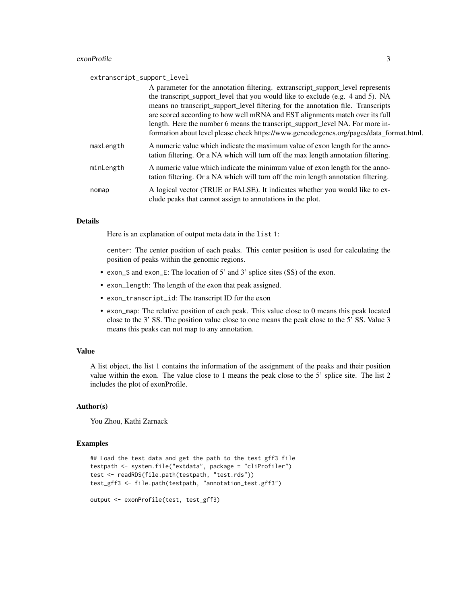#### exonProfile 3

#### extranscript\_support\_level

|           | A parameter for the annotation filtering. extranscript_support_level represents                                                                                          |
|-----------|--------------------------------------------------------------------------------------------------------------------------------------------------------------------------|
|           | the transcript_support_level that you would like to exclude (e.g. 4 and 5). NA                                                                                           |
|           | means no transcript_support_level filtering for the annotation file. Transcripts                                                                                         |
|           | are scored according to how well mRNA and EST alignments match over its full                                                                                             |
|           | length. Here the number 6 means the transcript_support_level NA. For more in-<br>formation about level please check https://www.gencodegenes.org/pages/data_format.html. |
| maxLength | A numeric value which indicate the maximum value of exon length for the anno-<br>tation filtering. Or a NA which will turn off the max length annotation filtering.      |
| minLength | A numeric value which indicate the minimum value of exon length for the anno-<br>tation filtering. Or a NA which will turn off the min length annotation filtering.      |
| nomap     | A logical vector (TRUE or FALSE). It indicates whether you would like to ex-<br>clude peaks that cannot assign to annotations in the plot.                               |

#### Details

Here is an explanation of output meta data in the list 1:

center: The center position of each peaks. This center position is used for calculating the position of peaks within the genomic regions.

- exon\_S and exon\_E: The location of 5' and 3' splice sites (SS) of the exon.
- exon\_length: The length of the exon that peak assigned.
- exon\_transcript\_id: The transcript ID for the exon
- exon\_map: The relative position of each peak. This value close to 0 means this peak located close to the 3' SS. The position value close to one means the peak close to the 5' SS. Value 3 means this peaks can not map to any annotation.

#### Value

A list object, the list 1 contains the information of the assignment of the peaks and their position value within the exon. The value close to 1 means the peak close to the 5' splice site. The list 2 includes the plot of exonProfile.

#### Author(s)

You Zhou, Kathi Zarnack

```
## Load the test data and get the path to the test gff3 file
testpath <- system.file("extdata", package = "cliProfiler")
test <- readRDS(file.path(testpath, "test.rds"))
test_gff3 <- file.path(testpath, "annotation_test.gff3")
```

```
output <- exonProfile(test, test_gff3)
```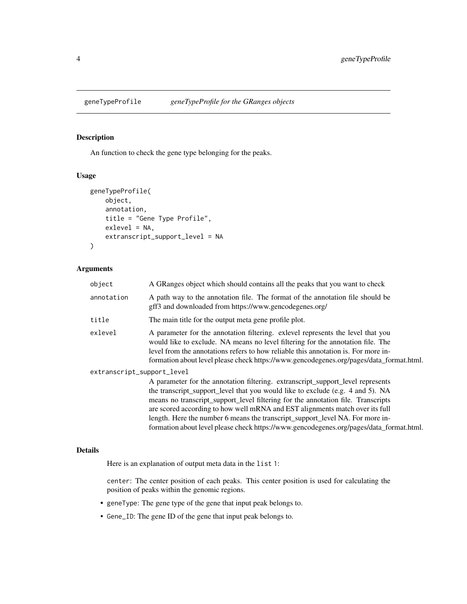<span id="page-3-0"></span>

#### Description

An function to check the gene type belonging for the peaks.

#### Usage

```
geneTypeProfile(
    object,
    annotation,
    title = "Gene Type Profile",
    exlevel = NA,
    extranscript_support_level = NA
)
```
#### Arguments

| object                     | A GRanges object which should contains all the peaks that you want to check                                                                                                                                                                                                                                                                                                                                            |  |
|----------------------------|------------------------------------------------------------------------------------------------------------------------------------------------------------------------------------------------------------------------------------------------------------------------------------------------------------------------------------------------------------------------------------------------------------------------|--|
| annotation                 | A path way to the annotation file. The format of the annotation file should be<br>gff3 and downloaded from https://www.gencodegenes.org/                                                                                                                                                                                                                                                                               |  |
| title                      | The main title for the output meta gene profile plot.                                                                                                                                                                                                                                                                                                                                                                  |  |
| exlevel                    | A parameter for the annotation filtering, exlevel represents the level that you<br>would like to exclude. NA means no level filtering for the annotation file. The<br>level from the annotations refers to how reliable this annotation is. For more in-<br>formation about level please check https://www.gencodegenes.org/pages/data_format.html.                                                                    |  |
| extranscript_support_level |                                                                                                                                                                                                                                                                                                                                                                                                                        |  |
|                            | A parameter for the annotation filtering. extranscript_support_level represents<br>the transcript_support_level that you would like to exclude (e.g. 4 and 5). NA<br>means no transcript_support_level filtering for the annotation file. Transcripts<br>are scored according to how well mRNA and EST alignments match over its full<br>length. Here the number 6 means the transcript_support_level NA. For more in- |  |

formation about level please check https://www.gencodegenes.org/pages/data\_format.html.

## Details

Here is an explanation of output meta data in the list 1:

center: The center position of each peaks. This center position is used for calculating the position of peaks within the genomic regions.

- geneType: The gene type of the gene that input peak belongs to.
- Gene\_ID: The gene ID of the gene that input peak belongs to.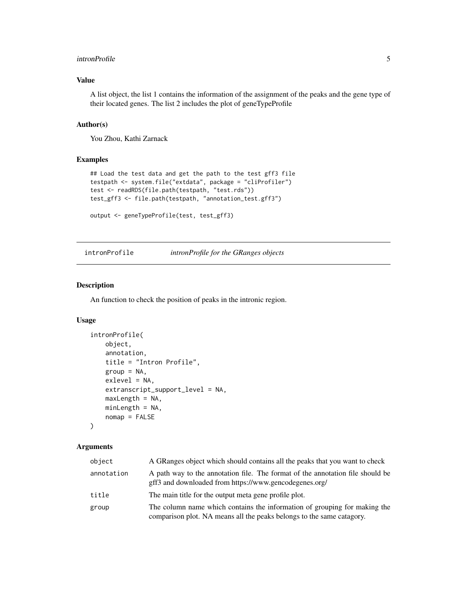#### <span id="page-4-0"></span>intronProfile 5

#### Value

A list object, the list 1 contains the information of the assignment of the peaks and the gene type of their located genes. The list 2 includes the plot of geneTypeProfile

#### Author(s)

You Zhou, Kathi Zarnack

#### Examples

```
## Load the test data and get the path to the test gff3 file
testpath <- system.file("extdata", package = "cliProfiler")
test <- readRDS(file.path(testpath, "test.rds"))
test_gff3 <- file.path(testpath, "annotation_test.gff3")
```

```
output <- geneTypeProfile(test, test_gff3)
```
intronProfile *intronProfile for the GRanges objects*

#### Description

An function to check the position of peaks in the intronic region.

#### Usage

```
intronProfile(
   object,
    annotation,
    title = "Intron Profile",
    group = NA,exlevel = NA,
    extranscript_support_level = NA,
   maxLength = NA,
   minLength = NA,
   nomap = FALSE
```

```
)
```

| object     | A GRanges object which should contains all the peaks that you want to check                                                                        |
|------------|----------------------------------------------------------------------------------------------------------------------------------------------------|
| annotation | A path way to the annotation file. The format of the annotation file should be<br>gff3 and downloaded from https://www.gencodegenes.org/           |
| title      | The main title for the output meta gene profile plot.                                                                                              |
| group      | The column name which contains the information of grouping for making the<br>comparison plot. NA means all the peaks belongs to the same catagory. |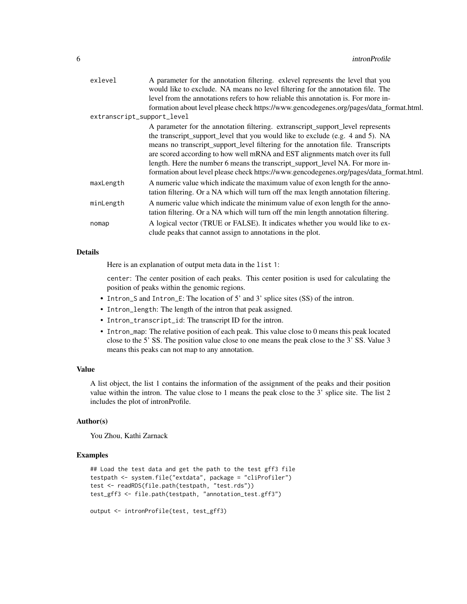| exlevel                    | A parameter for the annotation filtering. exlevel represents the level that you<br>would like to exclude. NA means no level filtering for the annotation file. The<br>level from the annotations refers to how reliable this annotation is. For more in-<br>formation about level please check https://www.gencodegenes.org/pages/data_format.html. |
|----------------------------|-----------------------------------------------------------------------------------------------------------------------------------------------------------------------------------------------------------------------------------------------------------------------------------------------------------------------------------------------------|
| extranscript_support_level |                                                                                                                                                                                                                                                                                                                                                     |
|                            | A parameter for the annotation filtering. extranscript_support_level represents                                                                                                                                                                                                                                                                     |
|                            | the transcript_support_level that you would like to exclude (e.g. 4 and 5). NA                                                                                                                                                                                                                                                                      |
|                            | means no transcript_support_level filtering for the annotation file. Transcripts                                                                                                                                                                                                                                                                    |
|                            | are scored according to how well mRNA and EST alignments match over its full                                                                                                                                                                                                                                                                        |
|                            | length. Here the number 6 means the transcript_support_level NA. For more in-                                                                                                                                                                                                                                                                       |
|                            | formation about level please check https://www.gencodegenes.org/pages/data_format.html.                                                                                                                                                                                                                                                             |
| maxLength                  | A numeric value which indicate the maximum value of exon length for the anno-<br>tation filtering. Or a NA which will turn off the max length annotation filtering.                                                                                                                                                                                 |
| minLength                  | A numeric value which indicate the minimum value of exon length for the anno-<br>tation filtering. Or a NA which will turn off the min length annotation filtering.                                                                                                                                                                                 |
| nomap                      | A logical vector (TRUE or FALSE). It indicates whether you would like to ex-<br>clude peaks that cannot assign to annotations in the plot.                                                                                                                                                                                                          |

#### Details

Here is an explanation of output meta data in the list 1:

center: The center position of each peaks. This center position is used for calculating the position of peaks within the genomic regions.

- Intron\_S and Intron\_E: The location of 5' and 3' splice sites (SS) of the intron.
- Intron\_length: The length of the intron that peak assigned.
- Intron\_transcript\_id: The transcript ID for the intron.
- Intron\_map: The relative position of each peak. This value close to 0 means this peak located close to the 5' SS. The position value close to one means the peak close to the 3' SS. Value 3 means this peaks can not map to any annotation.

#### Value

A list object, the list 1 contains the information of the assignment of the peaks and their position value within the intron. The value close to 1 means the peak close to the 3' splice site. The list 2 includes the plot of intronProfile.

#### Author(s)

You Zhou, Kathi Zarnack

#### Examples

```
## Load the test data and get the path to the test gff3 file
testpath <- system.file("extdata", package = "cliProfiler")
test <- readRDS(file.path(testpath, "test.rds"))
test_gff3 <- file.path(testpath, "annotation_test.gff3")
```
output <- intronProfile(test, test\_gff3)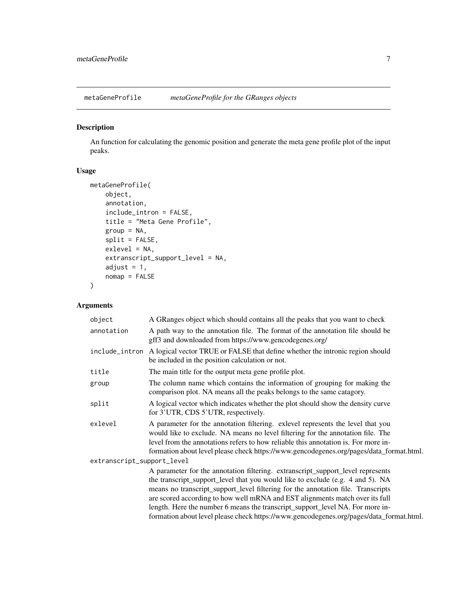<span id="page-6-0"></span>metaGeneProfile *metaGeneProfile for the GRanges objects*

#### Description

An function for calculating the genomic position and generate the meta gene profile plot of the input peaks.

#### Usage

```
metaGeneProfile(
   object,
   annotation,
   include_intron = FALSE,
   title = "Meta Gene Profile",
   group = NA,split = FALSE,
   exlevel = NA,
   extranscript_support_level = NA,
   adjust = 1,
   nomap = FALSE
)
```

| object                     | A GRanges object which should contains all the peaks that you want to check                                                                                                                                                                                                                                                                         |
|----------------------------|-----------------------------------------------------------------------------------------------------------------------------------------------------------------------------------------------------------------------------------------------------------------------------------------------------------------------------------------------------|
| annotation                 | A path way to the annotation file. The format of the annotation file should be<br>gff3 and downloaded from https://www.gencodegenes.org/                                                                                                                                                                                                            |
|                            | include_intron A logical vector TRUE or FALSE that define whether the intronic region should<br>be included in the position calculation or not.                                                                                                                                                                                                     |
| title                      | The main title for the output meta gene profile plot.                                                                                                                                                                                                                                                                                               |
| group                      | The column name which contains the information of grouping for making the<br>comparison plot. NA means all the peaks belongs to the same catagory.                                                                                                                                                                                                  |
| split                      | A logical vector which indicates whether the plot should show the density curve<br>for 3'UTR, CDS 5'UTR, respectively.                                                                                                                                                                                                                              |
| exlevel                    | A parameter for the annotation filtering. exlevel represents the level that you<br>would like to exclude. NA means no level filtering for the annotation file. The<br>level from the annotations refers to how reliable this annotation is. For more in-<br>formation about level please check https://www.gencodegenes.org/pages/data_format.html. |
| extranscript_support_level |                                                                                                                                                                                                                                                                                                                                                     |
|                            | A parameter for the annotation filtering. extranscript_support_level represents<br>the transcript_support_level that you would like to exclude (e.g. 4 and 5). NA<br>means no transcript_support_level filtering for the annotation file. Transcripts                                                                                               |
|                            | are scored according to how well mRNA and EST alignments match over its full                                                                                                                                                                                                                                                                        |
|                            | length. Here the number 6 means the transcript_support_level NA. For more in-                                                                                                                                                                                                                                                                       |
|                            | formation about level please check https://www.gencodegenes.org/pages/data_format.html.                                                                                                                                                                                                                                                             |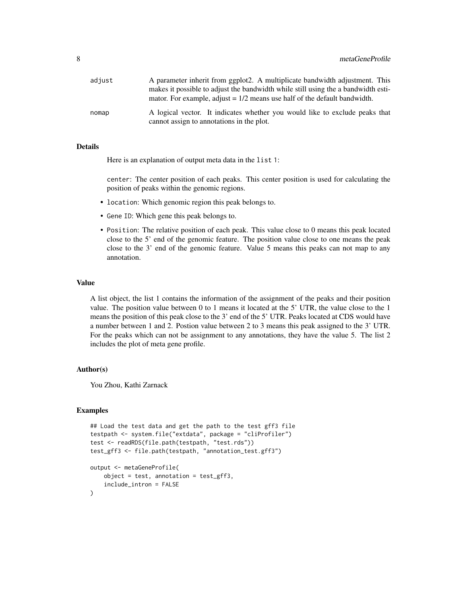| adjust | A parameter inherit from ggplot2. A multiplicate bandwidth adjustment. This                                              |
|--------|--------------------------------------------------------------------------------------------------------------------------|
|        | makes it possible to adjust the bandwidth while still using the a bandwidth esti-                                        |
|        | mator. For example, adjust $= 1/2$ means use half of the default bandwidth.                                              |
| nomap  | A logical vector. It indicates whether you would like to exclude peaks that<br>cannot assign to annotations in the plot. |

#### Details

Here is an explanation of output meta data in the list 1:

center: The center position of each peaks. This center position is used for calculating the position of peaks within the genomic regions.

- location: Which genomic region this peak belongs to.
- Gene ID: Which gene this peak belongs to.
- Position: The relative position of each peak. This value close to 0 means this peak located close to the 5' end of the genomic feature. The position value close to one means the peak close to the 3' end of the genomic feature. Value 5 means this peaks can not map to any annotation.

#### Value

A list object, the list 1 contains the information of the assignment of the peaks and their position value. The position value between 0 to 1 means it located at the 5' UTR, the value close to the 1 means the position of this peak close to the 3' end of the 5' UTR. Peaks located at CDS would have a number between 1 and 2. Postion value between 2 to 3 means this peak assigned to the 3' UTR. For the peaks which can not be assignment to any annotations, they have the value 5. The list 2 includes the plot of meta gene profile.

#### Author(s)

You Zhou, Kathi Zarnack

```
## Load the test data and get the path to the test gff3 file
testpath <- system.file("extdata", package = "cliProfiler")
test <- readRDS(file.path(testpath, "test.rds"))
test_gff3 <- file.path(testpath, "annotation_test.gff3")
output <- metaGeneProfile(
   object = test, annotation = test_gff3,
    include_intron = FALSE
)
```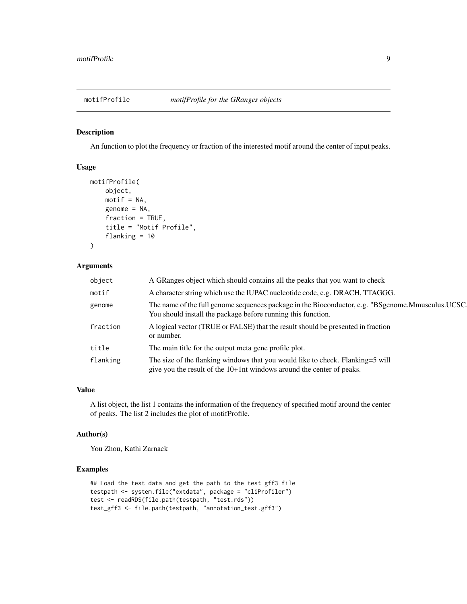<span id="page-8-0"></span>

#### Description

An function to plot the frequency or fraction of the interested motif around the center of input peaks.

#### Usage

```
motifProfile(
    object,
    motif = NA,
    genome = NA,
    fraction = TRUE,
    title = "Motif Profile",
    flanking = 10)
```
#### Arguments

| object   | A GRanges object which should contains all the peaks that you want to check                                                                                       |
|----------|-------------------------------------------------------------------------------------------------------------------------------------------------------------------|
| motif    | A character string which use the IUPAC nucleotide code, e.g. DRACH, TTAGGG.                                                                                       |
| genome   | The name of the full genome sequences package in the Bioconductor, e.g. "BSgenome.Mmusculus.UCSC,<br>You should install the package before running this function. |
| fraction | A logical vector (TRUE or FALSE) that the result should be presented in fraction<br>or number.                                                                    |
| title    | The main title for the output meta gene profile plot.                                                                                                             |
| flanking | The size of the flanking windows that you would like to check. Flanking=5 will<br>give you the result of the 10+1nt windows around the center of peaks.           |

### Value

A list object, the list 1 contains the information of the frequency of specified motif around the center of peaks. The list 2 includes the plot of motifProfile.

#### Author(s)

You Zhou, Kathi Zarnack

```
## Load the test data and get the path to the test gff3 file
testpath <- system.file("extdata", package = "cliProfiler")
test <- readRDS(file.path(testpath, "test.rds"))
test_gff3 <- file.path(testpath, "annotation_test.gff3")
```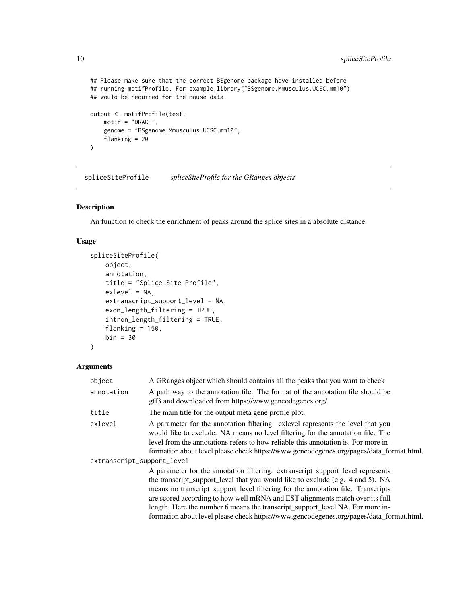```
## Please make sure that the correct BSgenome package have installed before
## running motifProfile. For example,library("BSgenome.Mmusculus.UCSC.mm10")
## would be required for the mouse data.
output <- motifProfile(test,
    motif = "DRACH",
    genome = "BSgenome.Mmusculus.UCSC.mm10",
    flanking = 20
\mathcal{L}
```
spliceSiteProfile *spliceSiteProfile for the GRanges objects*

#### Description

An function to check the enrichment of peaks around the splice sites in a absolute distance.

#### Usage

```
spliceSiteProfile(
   object,
    annotation,
    title = "Splice Site Profile",
    exlevel = NA,
    extranscript_support_level = NA,
    exon_length_filtering = TRUE,
    intron_length_filtering = TRUE,
    flanking = 150,
   bin = 30)
```

| object                     | A GRanges object which should contains all the peaks that you want to check                                                                                                                                                                                                                                                                                                                                                                                                                                       |
|----------------------------|-------------------------------------------------------------------------------------------------------------------------------------------------------------------------------------------------------------------------------------------------------------------------------------------------------------------------------------------------------------------------------------------------------------------------------------------------------------------------------------------------------------------|
| annotation                 | A path way to the annotation file. The format of the annotation file should be<br>gff3 and downloaded from https://www.gencodegenes.org/                                                                                                                                                                                                                                                                                                                                                                          |
| title                      | The main title for the output meta gene profile plot.                                                                                                                                                                                                                                                                                                                                                                                                                                                             |
| exlevel                    | A parameter for the annotation filtering, exlevel represents the level that you<br>would like to exclude. NA means no level filtering for the annotation file. The<br>level from the annotations refers to how reliable this annotation is. For more in-<br>formation about level please check https://www.gencodegenes.org/pages/data_format.html.                                                                                                                                                               |
| extranscript_support_level |                                                                                                                                                                                                                                                                                                                                                                                                                                                                                                                   |
|                            | A parameter for the annotation filtering. extranscript_support_level represents<br>the transcript_support_level that you would like to exclude (e.g. 4 and 5). NA<br>means no transcript_support_level filtering for the annotation file. Transcripts<br>are scored according to how well mRNA and EST alignments match over its full<br>length. Here the number 6 means the transcript_support_level NA. For more in-<br>formation about level please check https://www.gencodegenes.org/pages/data_format.html. |

<span id="page-9-0"></span>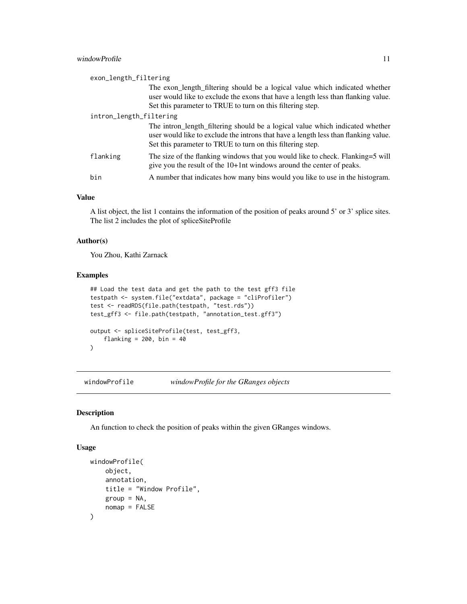#### <span id="page-10-0"></span>windowProfile 21 and 200 and 200 and 200 and 200 and 200 and 200 and 200 and 200 and 200 and 200 and 200 and 200 and 200 and 200 and 200 and 200 and 200 and 200 and 200 and 200 and 200 and 200 and 200 and 200 and 200 and 2

| exon_length_filtering   |                                                                                                                                                                                                                                    |
|-------------------------|------------------------------------------------------------------------------------------------------------------------------------------------------------------------------------------------------------------------------------|
|                         | The exon length filtering should be a logical value which indicated whether<br>user would like to exclude the exons that have a length less than flanking value.<br>Set this parameter to TRUE to turn on this filtering step.     |
| intron_length_filtering |                                                                                                                                                                                                                                    |
|                         | The intron_length_filtering should be a logical value which indicated whether<br>user would like to exclude the introns that have a length less than flanking value.<br>Set this parameter to TRUE to turn on this filtering step. |
| flanking                | The size of the flanking windows that you would like to check. Flanking=5 will<br>give you the result of the 10+1nt windows around the center of peaks.                                                                            |
| bin                     | A number that indicates how many bins would you like to use in the histogram.                                                                                                                                                      |

#### Value

A list object, the list 1 contains the information of the position of peaks around 5' or 3' splice sites. The list 2 includes the plot of spliceSiteProfile

#### Author(s)

You Zhou, Kathi Zarnack

#### Examples

```
## Load the test data and get the path to the test gff3 file
testpath <- system.file("extdata", package = "cliProfiler")
test <- readRDS(file.path(testpath, "test.rds"))
test_gff3 <- file.path(testpath, "annotation_test.gff3")
output <- spliceSiteProfile(test, test_gff3,
   flanking = 200, bin = 40)
```
windowProfile *windowProfile for the GRanges objects*

#### Description

An function to check the position of peaks within the given GRanges windows.

#### Usage

```
windowProfile(
   object,
   annotation,
   title = "Window Profile",
   group = NA,nomap = FALSE
)
```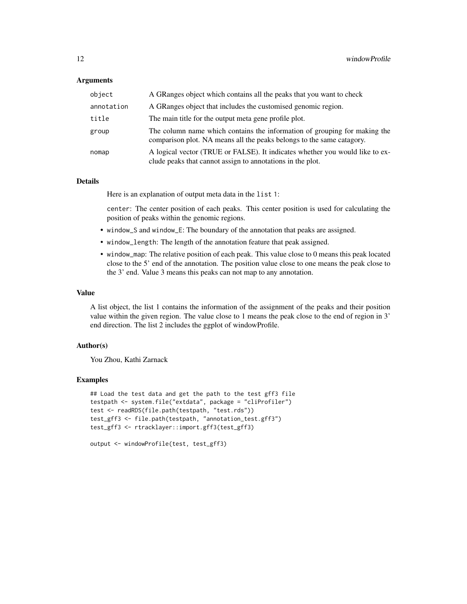#### Arguments

| object     | A GRanges object which contains all the peaks that you want to check                                                                               |
|------------|----------------------------------------------------------------------------------------------------------------------------------------------------|
| annotation | A GRanges object that includes the customised genomic region.                                                                                      |
| title      | The main title for the output meta gene profile plot.                                                                                              |
| group      | The column name which contains the information of grouping for making the<br>comparison plot. NA means all the peaks belongs to the same catagory. |
| nomap      | A logical vector (TRUE or FALSE). It indicates whether you would like to ex-<br>clude peaks that cannot assign to annotations in the plot.         |

#### Details

Here is an explanation of output meta data in the list 1:

center: The center position of each peaks. This center position is used for calculating the position of peaks within the genomic regions.

- window\_S and window\_E: The boundary of the annotation that peaks are assigned.
- window\_length: The length of the annotation feature that peak assigned.
- window\_map: The relative position of each peak. This value close to 0 means this peak located close to the 5' end of the annotation. The position value close to one means the peak close to the 3' end. Value 3 means this peaks can not map to any annotation.

#### Value

A list object, the list 1 contains the information of the assignment of the peaks and their position value within the given region. The value close to 1 means the peak close to the end of region in 3' end direction. The list 2 includes the ggplot of windowProfile.

#### Author(s)

You Zhou, Kathi Zarnack

```
## Load the test data and get the path to the test gff3 file
testpath <- system.file("extdata", package = "cliProfiler")
test <- readRDS(file.path(testpath, "test.rds"))
test_gff3 <- file.path(testpath, "annotation_test.gff3")
test_gff3 <- rtracklayer::import.gff3(test_gff3)
```

```
output <- windowProfile(test, test_gff3)
```